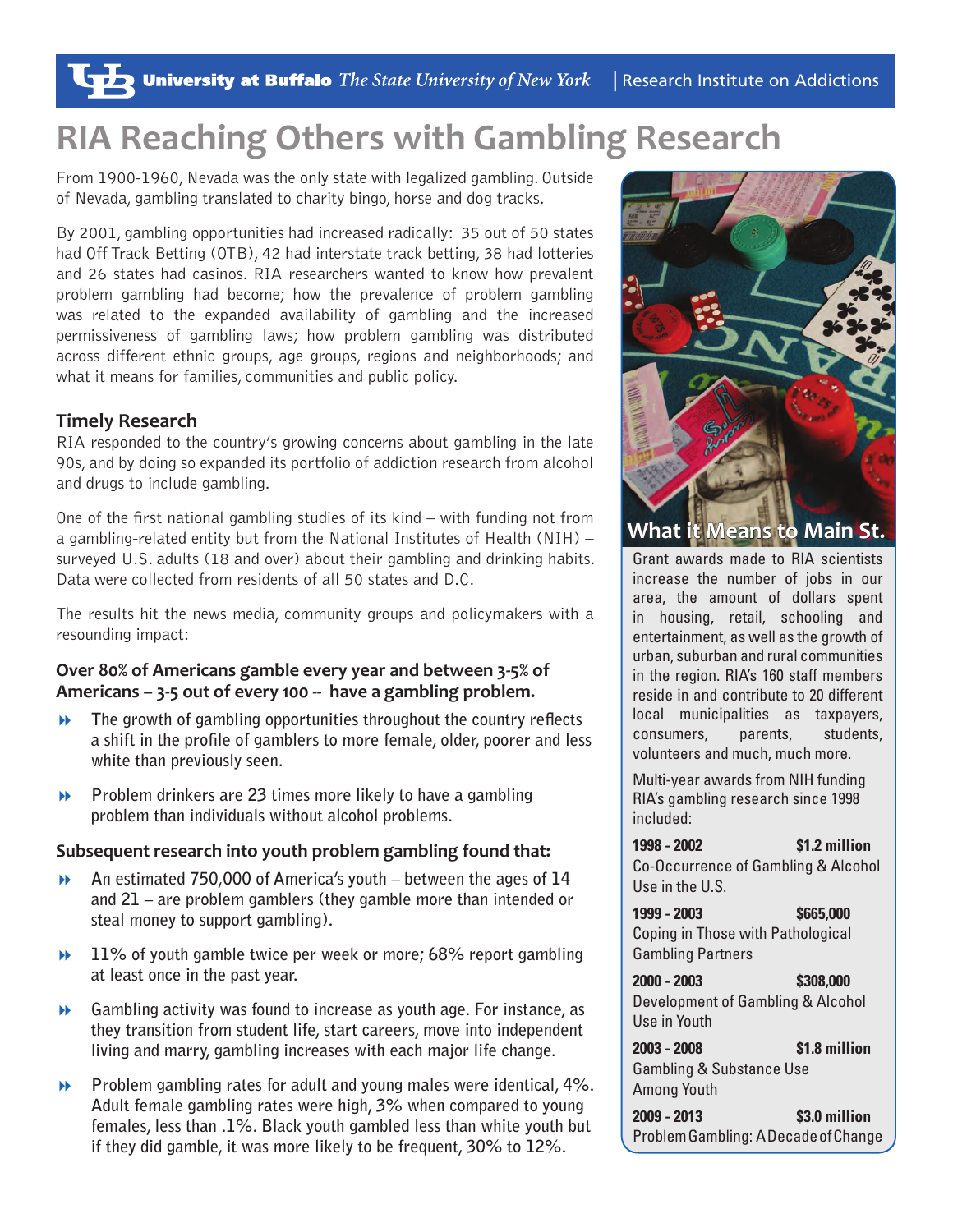# **RIA Reaching Others with Gambling Research**

From 1900-1960, Nevada was the only state with legalized gambling. Outside of Nevada, gambling translated to charity bingo, horse and dog tracks.

By 2001, gambling opportunities had increased radically: 35 out of 50 states had Off Track Betting (OTB), 42 had interstate track betting, 38 had lotteries and 26 states had casinos. RIA researchers wanted to know how prevalent problem gambling had become; how the prevalence of problem gambling was related to the expanded availability of gambling and the increased permissiveness of gambling laws; how problem gambling was distributed across different ethnic groups, age groups, regions and neighborhoods; and what it means for families, communities and public policy.

## **Timely Research**

RIA responded to the country's growing concerns about gambling in the late 90s, and by doing so expanded its portfolio of addiction research from alcohol and drugs to include gambling.

One of the first national gambling studies of its kind – with funding not from a gambling-related entity but from the National Institutes of Health (NIH) – surveyed U.S. adults (18 and over) about their gambling and drinking habits. Data were collected from residents of all 50 states and D.C.

The results hit the news media, community groups and policymakers with a resounding impact:

### **Over 80% of Americans gamble every year and between 3-5% of Americans – 3-5 out of every 100 -- have a gambling problem.**

- **The growth of gambling opportunities throughout the country reflects a shift in the profile of gamblers to more female, older, poorer and less white than previously seen.**
- **Problem drinkers are 23 times more likely to have a gambling problem than individuals without alcohol problems.**

#### **Subsequent research into youth problem gambling found that:**

- **An estimated 750,000 of America's youth between the ages of 14 and 21 – are problem gamblers (they gamble more than intended or steal money to support gambling).**
- **11% of youth gamble twice per week or more; 68% report gambling at least once in the past year.**
- **Gambling activity was found to increase as youth age. For instance, as they transition from student life, start careers, move into independent living and marry, gambling increases with each major life change.**
- **Problem gambling rates for adult and young males were identical, 4%. Adult female gambling rates were high, 3% when compared to young females, less than .1%. Black youth gambled less than white youth but if they did gamble, it was more likely to be frequent, 30% to 12%.**



**What it Means to Main St.**

Grant awards made to RIA scientists increase the number of jobs in our area, the amount of dollars spent in housing, retail, schooling and entertainment, as well as the growth of urban, suburban and rural communities in the region. RIA's 160 staff members reside in and contribute to 20 different local municipalities as taxpayers, consumers, parents, students, volunteers and much, much more.

Multi-year awards from NIH funding RIA's gambling research since 1998 included:

**1998 - 2002 \$1.2 million** Co-Occurrence of Gambling & Alcohol Use in the U.S.

**1999 - 2003 \$665,000** Coping in Those with Pathological Gambling Partners

**2000 - 2003 \$308,000** Development of Gambling & Alcohol Use in Youth

**2003 - 2008 \$1.8 million** Gambling & Substance Use Among Youth

**2009 - 2013 \$3.0 million** Problem Gambling: A Decade of Change